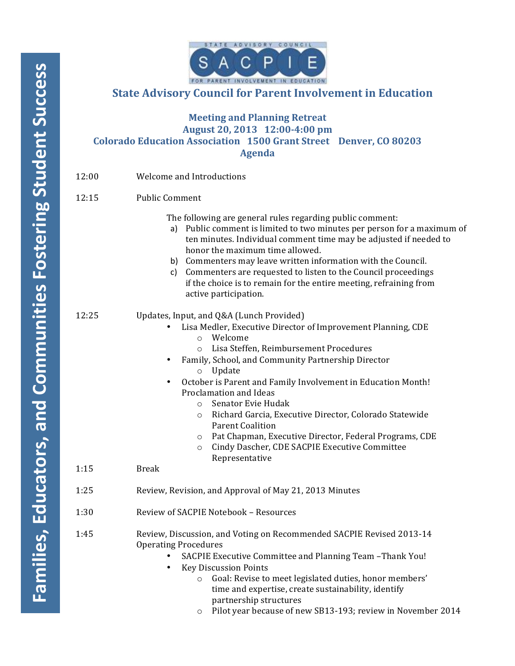

**State Advisory Council for Parent Involvement in Education** 

# **Meeting and Planning Retreat August 20, 2013 12:00-4:00 pm Colorado Education Association 1500 Grant Street Denver, CO 80203 Agenda**

- 12:00 Welcome and Introductions
- 12:15 Public Comment

The following are general rules regarding public comment:

- a) Public comment is limited to two minutes per person for a maximum of ten minutes. Individual comment time may be adjusted if needed to honor the maximum time allowed.
- b) Commenters may leave written information with the Council.
- c) Commenters are requested to listen to the Council proceedings if the choice is to remain for the entire meeting, refraining from active participation.

12:25 Updates, Input, and Q&A (Lunch Provided)

- Lisa Medler, Executive Director of Improvement Planning, CDE o Welcome
	-
	- o Lisa Steffen, Reimbursement Procedures
- Family, School, and Community Partnership Director o Update
- October is Parent and Family Involvement in Education Month! Proclamation and Ideas
	- $\circ$  Senator Evie Hudak
	- $\circ$  Richard Garcia, Executive Director, Colorado Statewide Parent Coalition
	- o Pat Chapman, Executive Director, Federal Programs, CDE
	- o Cindy Dascher, CDE SACPIE Executive Committee Representative
- 1:15 Break
- 1:25 Review, Revision, and Approval of May 21, 2013 Minutes
- 1:30 Review of SACPIE Notebook Resources
- 1:45 Review, Discussion, and Voting on Recommended SACPIE Revised 2013-14 Operating Procedures
	- SACPIE Executive Committee and Planning Team -Thank You!
	- **Key Discussion Points** 
		- o Goal: Revise to meet legislated duties, honor members' time and expertise, create sustainability, identify partnership structures
		- o Pilot year because of new SB13-193; review in November 2014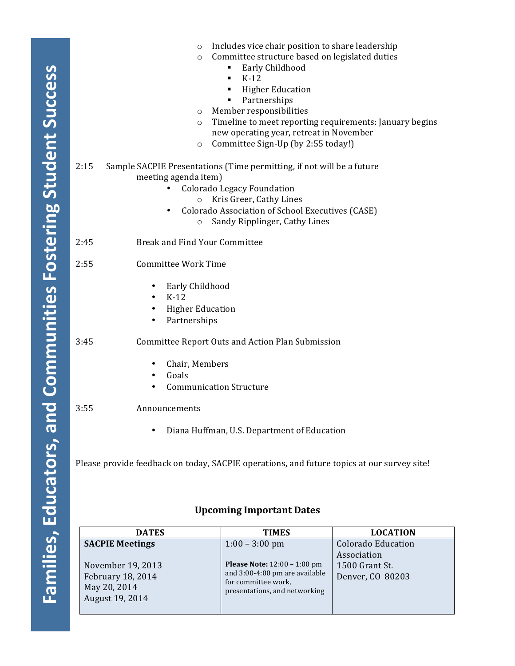- $\circ$  Includes vice chair position to share leadership
- $\circ$  Committee structure based on legislated duties
	- **Early Childhood**
	- $K-12$
	- **Higher Education**
	- **Partnerships**
- $\circ$  Member responsibilities
- $\circ$  Timeline to meet reporting requirements: January begins new operating year, retreat in November
- $\circ$  Committee Sign-Up (by 2:55 today!)

## 2:15 Sample SACPIE Presentations (Time permitting, if not will be a future meeting agenda item)

- Colorado Legacy Foundation
	- o Kris Greer, Cathy Lines
- Colorado Association of School Executives (CASE)
	- o Sandy Ripplinger, Cathy Lines

2:45 Break and Find Your Committee

2:55 Committee Work Time

- Early Childhood
- $K-12$
- **Higher Education**
- Partnerships

3:45 Committee Report Outs and Action Plan Submission

- Chair, Members
- Goals
- Communication Structure

3:55 Announcements

• Diana Huffman, U.S. Department of Education

Please provide feedback on today, SACPIE operations, and future topics at our survey site!

| <b>DATES</b>                                                              | <b>TIMES</b>                                                                                                                    | <b>LOCATION</b>                                   |
|---------------------------------------------------------------------------|---------------------------------------------------------------------------------------------------------------------------------|---------------------------------------------------|
| <b>SACPIE Meetings</b>                                                    | $1:00 - 3:00$ pm                                                                                                                | <b>Colorado Education</b>                         |
| November 19, 2013<br>February 18, 2014<br>May 20, 2014<br>August 19, 2014 | <b>Please Note:</b> $12:00 - 1:00$ pm<br>and 3:00-4:00 pm are available<br>for committee work,<br>presentations, and networking | Association<br>1500 Grant St.<br>Denver, CO 80203 |

## **Upcoming Important Dates**